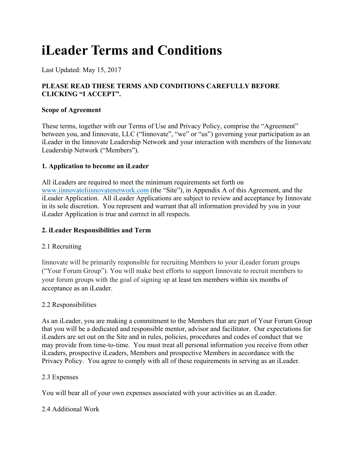# **iLeader Terms and Conditions**

Last Updated: May 15, 2017

## **PLEASE READ THESE TERMS AND CONDITIONS CAREFULLY BEFORE CLICKING "I ACCEPT".**

## **Scope of Agreement**

These terms, together with our Terms of Use and Privacy Policy, comprise the "Agreement" between you, and Iinnovate, LLC ("Iinnovate", "we" or "us") governing your participation as an iLeader in the Iinnovate Leadership Network and your interaction with members of the Iinnovate Leadership Network ("Members").

## **1. Application to become an iLeader**

All iLeaders are required to meet the minimum requirements set forth on www.iinnovateIiinnovatenetwork.com (the "Site"), in Appendix A of this Agreement, and the iLeader Application. All iLeader Applications are subject to review and acceptance by Iinnovate in its sole discretion. You represent and warrant that all information provided by you in your iLeader Application is true and correct in all respects.

## **2. iLeader Responsibilities and Term**

## 2.1 Recruiting

Iinnovate will be primarily responsible for recruiting Members to your iLeader forum groups ("Your Forum Group"). You will make best efforts to support Iinnovate to recruit members to your forum groups with the goal of signing up at least ten members within six months of acceptance as an iLeader.

## 2.2 Responsibilities

As an iLeader, you are making a commitment to the Members that are part of Your Forum Group that you will be a dedicated and responsible mentor, advisor and facilitator. Our expectations for iLeaders are set out on the Site and in rules, policies, procedures and codes of conduct that we may provide from time-to-time. You must treat all personal information you receive from other iLeaders, prospective iLeaders, Members and prospective Members in accordance with the Privacy Policy. You agree to comply with all of these requirements in serving as an iLeader.

#### 2.3 Expenses

You will bear all of your own expenses associated with your activities as an iLeader.

## 2.4 Additional Work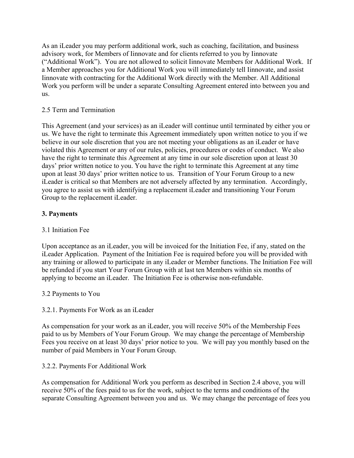As an iLeader you may perform additional work, such as coaching, facilitation, and business advisory work, for Members of Iinnovate and for clients referred to you by Iinnovate ("Additional Work"). You are not allowed to solicit Iinnovate Members for Additional Work. If a Member approaches you for Additional Work you will immediately tell Iinnovate, and assist Iinnovate with contracting for the Additional Work directly with the Member. All Additional Work you perform will be under a separate Consulting Agreement entered into between you and us.

## 2.5 Term and Termination

This Agreement (and your services) as an iLeader will continue until terminated by either you or us. We have the right to terminate this Agreement immediately upon written notice to you if we believe in our sole discretion that you are not meeting your obligations as an iLeader or have violated this Agreement or any of our rules, policies, procedures or codes of conduct. We also have the right to terminate this Agreement at any time in our sole discretion upon at least 30 days' prior written notice to you. You have the right to terminate this Agreement at any time upon at least 30 days' prior written notice to us. Transition of Your Forum Group to a new iLeader is critical so that Members are not adversely affected by any termination. Accordingly, you agree to assist us with identifying a replacement iLeader and transitioning Your Forum Group to the replacement iLeader.

## **3. Payments**

## 3.1 Initiation Fee

Upon acceptance as an iLeader, you will be invoiced for the Initiation Fee, if any, stated on the iLeader Application. Payment of the Initiation Fee is required before you will be provided with any training or allowed to participate in any iLeader or Member functions. The Initiation Fee will be refunded if you start Your Forum Group with at last ten Members within six months of applying to become an iLeader. The Initiation Fee is otherwise non-refundable.

## 3.2 Payments to You

## 3.2.1. Payments For Work as an iLeader

As compensation for your work as an iLeader, you will receive 50% of the Membership Fees paid to us by Members of Your Forum Group. We may change the percentage of Membership Fees you receive on at least 30 days' prior notice to you. We will pay you monthly based on the number of paid Members in Your Forum Group.

## 3.2.2. Payments For Additional Work

As compensation for Additional Work you perform as described in Section 2.4 above, you will receive 50% of the fees paid to us for the work, subject to the terms and conditions of the separate Consulting Agreement between you and us. We may change the percentage of fees you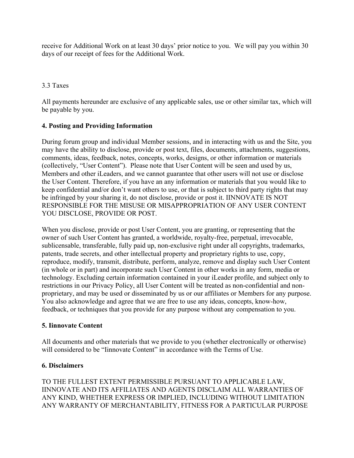receive for Additional Work on at least 30 days' prior notice to you. We will pay you within 30 days of our receipt of fees for the Additional Work.

## 3.3 Taxes

All payments hereunder are exclusive of any applicable sales, use or other similar tax, which will be payable by you.

## **4. Posting and Providing Information**

During forum group and individual Member sessions, and in interacting with us and the Site, you may have the ability to disclose, provide or post text, files, documents, attachments, suggestions, comments, ideas, feedback, notes, concepts, works, designs, or other information or materials (collectively, "User Content"). Please note that User Content will be seen and used by us, Members and other iLeaders, and we cannot guarantee that other users will not use or disclose the User Content. Therefore, if you have an any information or materials that you would like to keep confidential and/or don't want others to use, or that is subject to third party rights that may be infringed by your sharing it, do not disclose, provide or post it. IINNOVATE IS NOT RESPONSIBLE FOR THE MISUSE OR MISAPPROPRIATION OF ANY USER CONTENT YOU DISCLOSE, PROVIDE OR POST.

When you disclose, provide or post User Content, you are granting, or representing that the owner of such User Content has granted, a worldwide, royalty-free, perpetual, irrevocable, sublicensable, transferable, fully paid up, non-exclusive right under all copyrights, trademarks, patents, trade secrets, and other intellectual property and proprietary rights to use, copy, reproduce, modify, transmit, distribute, perform, analyze, remove and display such User Content (in whole or in part) and incorporate such User Content in other works in any form, media or technology. Excluding certain information contained in your iLeader profile, and subject only to restrictions in our Privacy Policy, all User Content will be treated as non-confidential and nonproprietary, and may be used or disseminated by us or our affiliates or Members for any purpose. You also acknowledge and agree that we are free to use any ideas, concepts, know-how, feedback, or techniques that you provide for any purpose without any compensation to you.

## **5. Iinnovate Content**

All documents and other materials that we provide to you (whether electronically or otherwise) will considered to be "Iinnovate Content" in accordance with the Terms of Use.

## **6. Disclaimers**

TO THE FULLEST EXTENT PERMISSIBLE PURSUANT TO APPLICABLE LAW, IINNOVATE AND ITS AFFILIATES AND AGENTS DISCLAIM ALL WARRANTIES OF ANY KIND, WHETHER EXPRESS OR IMPLIED, INCLUDING WITHOUT LIMITATION ANY WARRANTY OF MERCHANTABILITY, FITNESS FOR A PARTICULAR PURPOSE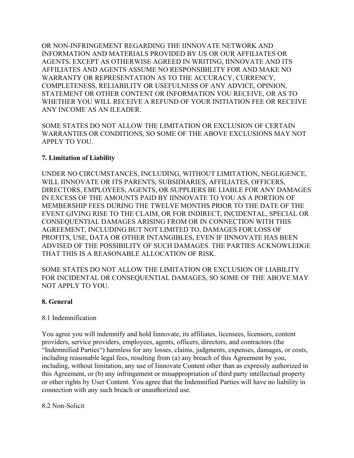OR NON-INFRINGEMENT REGARDING THE IINNOVATE NETWORK AND INFORMATION AND MATERIALS PROVIDED BY US OR OUR AFFILIATES OR AGENTS. EXCEPT AS OTHERWISE AGREED IN WRITING, IINNOVATE AND ITS AFFILIATES AND AGENTS ASSUME NO RESPONSIBILITY FOR AND MAKE NO WARRANTY OR REPRESENTATION AS TO THE ACCURACY, CURRENCY, COMPLETENESS, RELIABILITY OR USEFULNESS OF ANY ADVICE, OPINION, STATEMENT OR OTHER CONTENT OR INFORMATION YOU RECEIVE, OR AS TO WHETHER YOU WILL RECEIVE A REFUND OF YOUR INITIATION FEE OR RECEIVE ANY INCOME AS AN ILEADER.

SOME STATES DO NOT ALLOW THE LIMITATION OR EXCLUSION OF CERTAIN WARRANTIES OR CONDITIONS, SO SOME OF THE ABOVE EXCLUSIONS MAY NOT APPLY TO YOU.

## **7. Limitation of Liability**

UNDER NO CIRCUMSTANCES, INCLUDING, WITHOUT LIMITATION, NEGLIGENCE, WILL IINNOVATE OR ITS PARENTS, SUBSIDIARIES, AFFILIATES, OFFICERS, DIRECTORS, EMPLOYEES, AGENTS, OR SUPPLIERS BE LIABLE FOR ANY DAMAGES IN EXCESS OF THE AMOUNTS PAID BY IINNOVATE TO YOU AS A PORTION OF MEMBERSHIP FEES DURING THE TWELVE MONTHS PRIOR TO THE DATE OF THE EVENT GIVING RISE TO THE CLAIM, OR FOR INDIRECT, INCIDENTAL, SPECIAL OR CONSEQUENTIAL DAMAGES ARISING FROM OR IN CONNECTION WITH THIS AGREEMENT, INCLUDING BUT NOT LIMITED TO, DAMAGES FOR LOSS OF PROFITS, USE, DATA OR OTHER INTANGIBLES, EVEN IF IINNOVATE HAS BEEN ADVISED OF THE POSSIBILITY OF SUCH DAMAGES. THE PARTIES ACKNOWLEDGE THAT THIS IS A REASONABLE ALLOCATION OF RISK.

SOME STATES DO NOT ALLOW THE LIMITATION OR EXCLUSION OF LIABILITY FOR INCIDENTAL OR CONSEQUENTIAL DAMAGES, SO SOME OF THE ABOVE MAY NOT APPLY TO YOU.

## **8. General**

## 8.1 Indemnification

You agree you will indemnify and hold Iinnovate, its affiliates, licensees, licensors, content providers, service providers, employees, agents, officers, directors, and contractors (the "Indemnified Parties") harmless for any losses, claims, judgments, expenses, damages, or costs, including reasonable legal fees, resulting from (a) any breach of this Agreement by you, including, without limitation, any use of Iinnovate Content other than as expressly authorized in this Agreement, or (b) any infringement or misappropriation of third party intellectual property or other rights by User Content. You agree that the Indemnified Parties will have no liability in connection with any such breach or unauthorized use.

## 8.2 Non-Solicit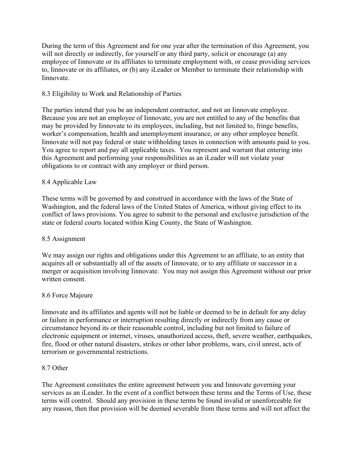During the term of this Agreement and for one year after the termination of this Agreement, you will not directly or indirectly, for yourself or any third party, solicit or encourage (a) any employee of Iinnovate or its affiliates to terminate employment with, or cease providing services to, Iinnovate or its affiliates, or (b) any iLeader or Member to terminate their relationship with Iinnovate.

## 8.3 Eligibility to Work and Relationship of Parties

The parties intend that you be an independent contractor, and not an Iinnovate employee. Because you are not an employee of Iinnovate, you are not entitled to any of the benefits that may be provided by Iinnovate to its employees, including, but not limited to, fringe benefits, worker's compensation, health and unemployment insurance, or any other employee benefit. Iinnovate will not pay federal or state withholding taxes in connection with amounts paid to you. You agree to report and pay all applicable taxes. You represent and warrant that entering into this Agreement and performing your responsibilities as an iLeader will not violate your obligations to or contract with any employer or third person.

## 8.4 Applicable Law

These terms will be governed by and construed in accordance with the laws of the State of Washington, and the federal laws of the United States of America, without giving effect to its conflict of laws provisions. You agree to submit to the personal and exclusive jurisdiction of the state or federal courts located within King County, the State of Washington.

## 8.5 Assignment

We may assign our rights and obligations under this Agreement to an affiliate, to an entity that acquires all or substantially all of the assets of Iinnovate, or to any affiliate or successor in a merger or acquisition involving Iinnovate. You may not assign this Agreement without our prior written consent.

#### 8.6 Force Majeure

Iinnovate and its affiliates and agents will not be liable or deemed to be in default for any delay or failure in performance or interruption resulting directly or indirectly from any cause or circumstance beyond its or their reasonable control, including but not limited to failure of electronic equipment or internet, viruses, unauthorized access, theft, severe weather, earthquakes, fire, flood or other natural disasters, strikes or other labor problems, wars, civil unrest, acts of terrorism or governmental restrictions.

#### 8.7 Other

The Agreement constitutes the entire agreement between you and Iinnovate governing your services as an iLeader. In the event of a conflict between these terms and the Terms of Use, these terms will control. Should any provision in these terms be found invalid or unenforceable for any reason, then that provision will be deemed severable from these terms and will not affect the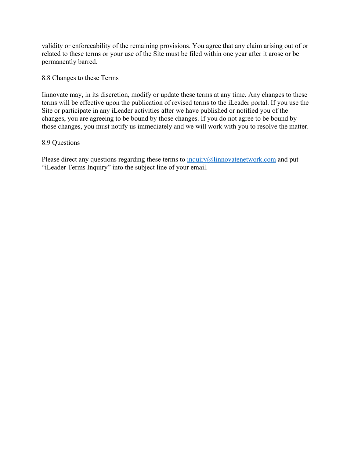validity or enforceability of the remaining provisions. You agree that any claim arising out of or related to these terms or your use of the Site must be filed within one year after it arose or be permanently barred.

#### 8.8 Changes to these Terms

Iinnovate may, in its discretion, modify or update these terms at any time. Any changes to these terms will be effective upon the publication of revised terms to the iLeader portal. If you use the Site or participate in any iLeader activities after we have published or notified you of the changes, you are agreeing to be bound by those changes. If you do not agree to be bound by those changes, you must notify us immediately and we will work with you to resolve the matter.

#### 8.9 Questions

Please direct any questions regarding these terms to inquiry $\omega$ Iinnovatenetwork.com and put "iLeader Terms Inquiry" into the subject line of your email.